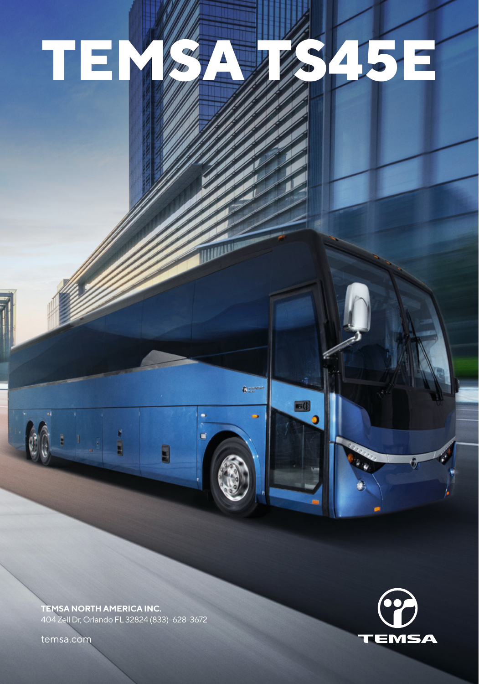# **TEMSA TS45E**

 $6m<sup>2</sup>$ 

 $\blacksquare$ 

**TEMSA NORTH AMERICA INC.** 404 Zell Dr, Orlando FL 32824 (833)-628-3672

į

temsa.com

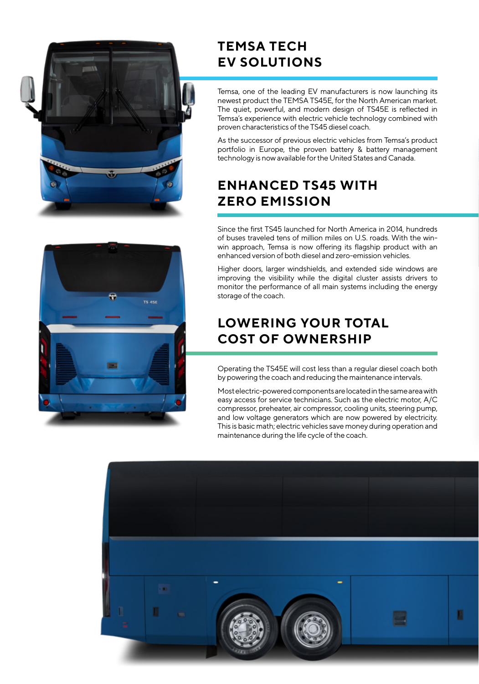



# **TEMSA TECH EV SOLUTIONS**

Temsa, one of the leading EV manufacturers is now launching its newest product the TEMSA TS45E, for the North American market. The quiet, powerful, and modern design of TS45E is reflected in Temsa's experience with electric vehicle technology combined with proven characteristics of the TS45 diesel coach.

As the successor of previous electric vehicles from Temsa's product portfolio in Europe, the proven battery & battery management technology is now available for the United States and Canada.

# **ENHANCED TS45 WITH ZERO EMISSION**

Since the first TS45 launched for North America in 2014, hundreds of buses traveled tens of million miles on U.S. roads. With the winwin approach, Temsa is now offering its flagship product with an enhanced version of both diesel and zero-emission vehicles.

Higher doors, larger windshields, and extended side windows are improving the visibility while the digital cluster assists drivers to monitor the performance of all main systems including the energy storage of the coach.

# **LOWERING YOUR TOTAL COST OF OWNERSHIP**

Operating the TS45E will cost less than a regular diesel coach both by powering the coach and reducing the maintenance intervals.

Most electric-powered components are located in the same area with easy access for service technicians. Such as the electric motor, A/C compressor, preheater, air compressor, cooling units, steering pump, and low voltage generators which are now powered by electricity. This is basic math; electric vehicles save money during operation and maintenance during the life cycle of the coach.

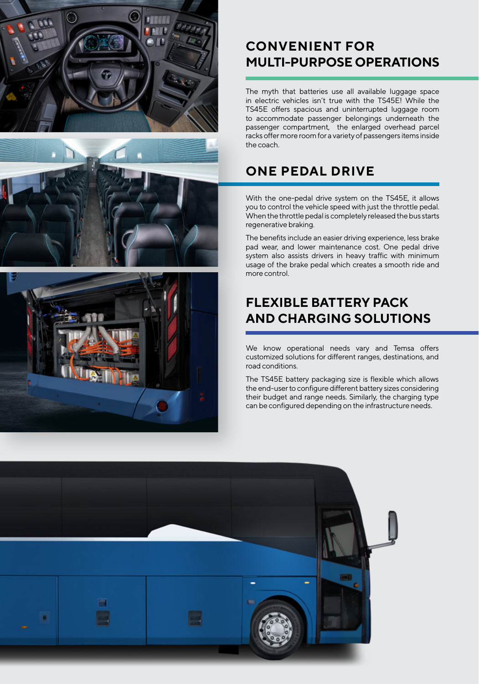





# **CONVENIENT FOR MULTI-PURPOSE OPERATIONS**

The myth that batteries use all available luggage space in electric vehicles isn't true with the TS45E! While the TS45E offers spacious and uninterrupted luggage room to accommodate passenger belongings underneath the passenger compartment, the enlarged overhead parcel racks offer more room for a variety of passengers items inside the coach.

## **ONE PEDAL DRIVE**

With the one-pedal drive system on the TS45E, it allows you to control the vehicle speed with just the throttle pedal. When the throttle pedal is completely released the bus starts regenerative braking.

The benefits include an easier driving experience, less brake pad wear, and lower maintenance cost. One pedal drive system also assists drivers in heavy traffic with minimum usage of the brake pedal which creates a smooth ride and more control.

# **FLEXIBLE BATTERY PACK AND CHARGING SOLUTIONS**

We know operational needs vary and Temsa offers customized solutions for different ranges, destinations, and road conditions.

The TS45E battery packaging size is flexible which allows the end-user to configure different battery sizes considering their budget and range needs. Similarly, the charging type can be configured depending on the infrastructure needs.